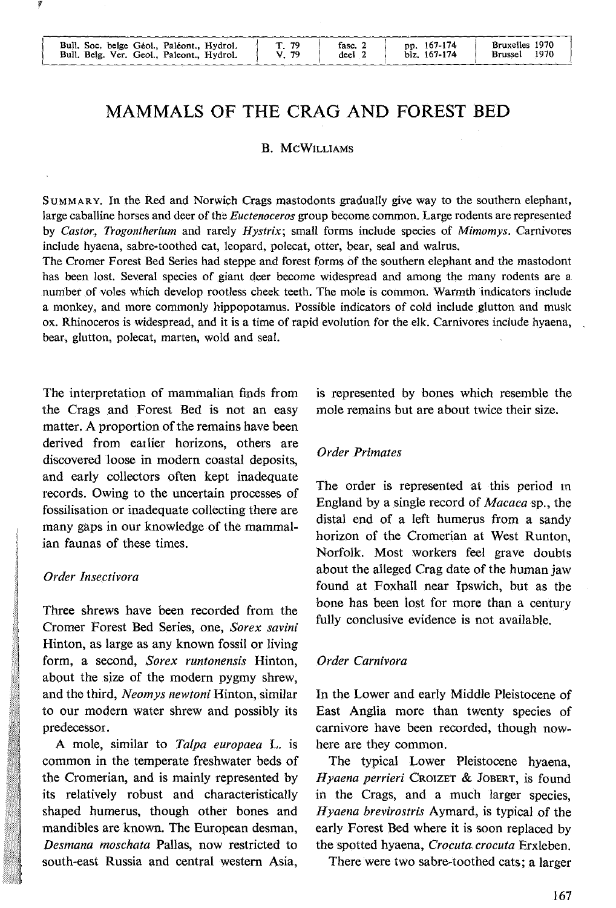# **MAMMALS OF THE CRAG AND FOREST BED**

### **B.** McW1LLIAMs

SuMMARY. In the Red and Norwich Crags mastodonts gradually give way to the southern elephant, large caballine horses and deer of the *Euctenoceros* group become common. Large rodents are represented by *Castor, Trogontherium* and rarely *Hystrix;* small forms include species of *Mimomys.* Carnivores include hyaena, sabre-toothed cat, leopard, polecat, otter, bear, seal and walrus.

The Cromer Forest Bed Series had steppe and forest forms of the southern elephant and the mastodont has been lost. Several species of giant deer become widespread and among the many rodents are a. number of voles which develop rootless cheek teeth. The mole is common. Warmth indicators include a monkey, and more commonly hippopotamus. Possible indicators of cold include glutton and musk ox. Rhinoceros is widespread, and it is a time of rapid evolution for the elk. Carnivores include hyaena, bear, glutton, polecat, marten, wold and seal.

The interpretation of mammalian finds from the Crags and Forest Bed is not an easy matter. A proportion of the remains have been derived from eatlier horizons, others are discovered loose in modern coastal deposits, and early collectors often kept inadequate records. Owing to the uncertain processes of fossilisation or inadequate collecting there are many gaps in our knowledge of the mammalian faunas of these times.

#### *Order Insectivora*

Three shrews have been recorded from the Cromer Forest Bed Series, one, *Sorex savini*  Hinton, as large as any known fossil or living form, a second, *Sorex runtonensis* Hinton, about the size of the modern pygmy shrew, and the third, *Neomys newtoni* Hinton, similar to our modern water shrew and possibly its predecessor.

A mole, similar to *Talpa europaea* L. is common in the temperate freshwater beds of the Cromerian, and is mainly represented by its relatively robust and characteristically shaped humerus, though other bones and mandibles are known. The European desman, *Desmana moschata* Pallas, now restricted to south-east Russia and central western Asia,

is represented by bones which resemble the mole remains but are about twice their size.

### *Order Primates*

The order is represented at this period in England by a single record of *Macaca* sp., the distal end of a teft humerus from a sandy horizon of the Cromerian at West Runton, Norfolk. Most workers feel grave doubts about the alleged Crag date of the human jaw found at Foxhall near Ipswich, but as the bone bas been lost for more than a century fully conclusive evidence is not available.

#### *Order Carnivora*

In the Lower and early Middle Pleistocene of East Anglia more than twenty species of carnivore have been recorded, though nowhere are they common.

The typical Lower Pleistocene hyaena, *Hyaena perrieri* CROIZET & JOBERT, is found in the Crags, and a much larger species, *Hyaena brevirostris* Aymard, is typical of the early Forest Bed where it is soon replaced by the spotted hyaena, *Crocuta crocuta* Erxleben.

There were two sabre-toothed cats; a larger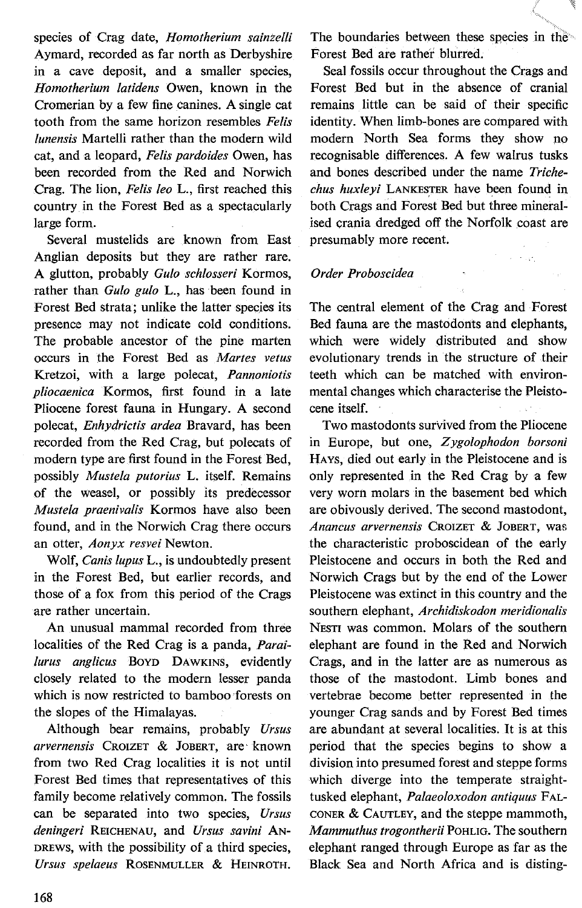species of Crag date, *Homotherium sainzelli*  Aymard, recorded as far north as Derbyshire in a cave deposit, and a smaller species, *Homotherium latidens* Owen, known in the Cromerian by a few fine canines. A single cat tooth from the same horizon resembles *Felis lunensis* Martelli rather than the modern wild cat, and a leopard, *Felis pardoides* Owen, has been recorded from the Red and Norwich Crag. The lion, *Felis leo* L., first reached this country in the Forest Bed as a spectacularly large form.

Severa! mustelids are known from East Anglian deposits but they are rather rare. A glutton, probably *Gulo schlosseri* Kormos, rather than *Gulo gulo* L., has been found in Forest Bed strata; unlike the latter species its presence may not indicate cold conditions. The probable ancestor of the pine marten occurs in the Forest Bed as *Martes vetus*  Kretzoi, with a large polecat, *Pannoniotis pliocaenica* Kormos, first found in a late Pliocene forest fauna in Hungary. A second polecat, *Enhydrictis ardea* Bravard, has been recorded from the Red Crag, but polecats of modern type are first found in the Forest Bed, possibly *Mustela putorius* L. itself. Remains of the weasel, or possibly its predecessor *Mustela praenivalis* Kormos have also been found, and in the Norwich Crag there occurs an otter, *Aonyx resvei* Newton.

Wolf, *Canis lupus* L., is undoubtedly present in the Forest Bed, but earlier records, and those of a fox from this period of the Crags are rather uncertain.

An unusual mammal recorded from three localities of the Red Crag is a panda, *Parai lurus anglicus* BOYD DAWKINS, evidently closely related to the modern lesser panda which is now restricted to bamboo forests on the slopes of the Himalayas.

Although bear remains, probably *Ursus arvernensis* CROIZET & JOBERT, are· known from two Red Crag localities it is not until Forest Bed times that representatives of this family become relatively common. The fossils can be separated into two species, *Ursus deningeri* REICHENAU, and *Ursus savini* AN-DREWS, with the possibility of a third species, *Ursus spelaeus* ROSENMULLER & HEINROTH.

The boundaries between these species in the Forest Bed are rather blurred.

Seal fossils occur throughout the Crags and Forest Bed but in the absence of cranial remains little can be said of their specific identity. When limb-bones are compared with modern North Sea forms they show no recognisable differences. A few walrus tusks and bones described under the name *Trichechus huxleyi* LANKESTER have been found in both Crags and Forest Bed but three mineralised crania dredged off the Norfolk coast are presumably more recent.

 $\sim 10^6$ 

# *Order Proboscidea*

The central element of the Crag and Forest Bed fauna are the mastodonts and elephants, which were widely distributed and show evolutionary trends in the structure of their teeth which can be matched with environmental changes which characterise the Pleistocene itself.

Two mastodonts survived from the Pliocene in Europe, but one, *Zygolophodon borsoni*  HAYS, died out early in the Pleistocene and is only represented in the Red Crag by a few very worn molars in the basement bed which are obivously derived. The second mastodont, *Anancus arvernensis* CROIZET & JOBERT, was the characteristic proboscidean of the early Pleistocene and occurs in both the Red and Norwich Crags but by the end of the Lower Pleistocene was extinct in this country and the southern elephant, *Archidiskodon meridionalis*  NESTI was common. Molars of the southern elephant are found in the Red and Norwich Crags, and in the latter are as numerous as those of the mastodont. Limb bones and vertebrae become better represented in the younger Crag sands and by Forest Bed times are abundant at several localities. It is at this period that the species begins to show a division into presumed forest and steppe forms which diverge into the temperate straighttusked elephant, *Palaeoloxodon antiquus* FAL-CONER & CAUTLEY, and the steppe mammoth, *Mammuthus trogontherii* PoHLIG. The southern elephant ranged through Europe as far as the Black Sea and North Africa and is disting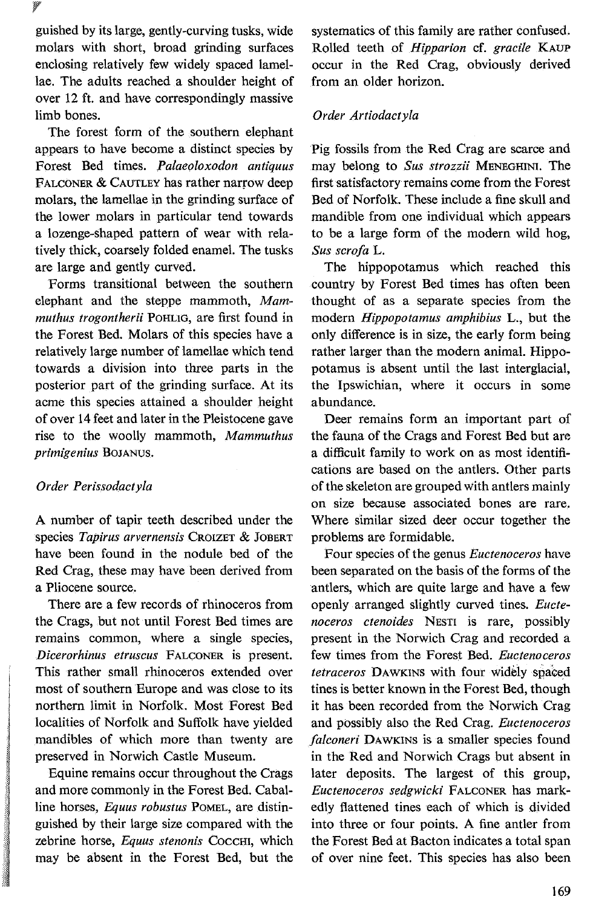guished by its large, gently-curving tusks, wide molars with short, broad grinding surfaces enclosing relatively few widely spaced lamellae. The adults reached a shoulder height of over 12 ft. and have correspondingly massive limb bones.

The forest form of the southern elephant appears to have become a distinct species by Forest Bed times. *Palaeoloxodon antiquus*  FALCONER & CAUTLEY has rather narrow deep molars, the lamellae in the grinding surface of the lower molars in particular tend towards a lozenge-shaped pattern of wear with relatively thick, coarsely folded enamel. The tusks are large and gently curved.

Forms transitional between the southern elephant and the steppe mammoth, *Mammuthus trogontherii* PoHLIG, are first found in the Forest Bed. Molars of this species have a relatively large number of lamellae which tend towards a division into three parts in the posterior part of the grinding surface. At its acme this species attained a shoulder height of over 14 feet and later in the Pleistocene gave rise to the woolly mammoth, *Mammuthus primigenius* BOJANUS.

## *Order Perissodactyla*

A number of tapir teeth described under the species *Tapirus arvernensis* CROIZET & JOBERT have been found in the nodule bed of the Red Crag, these may have been derived from a Pliocene source.

There are a few records of rhinoceros from the Crags, but not until Forest Bed times are remains common, where a single species, *Dicerorhinus etruscus* FALCONER is present. This rather small rhinoceros extended over most of southern Europe and was close to its northern limit in Norfolk. Most Forest Bed localities of Norfolk and Suffolk have yielded mandibles of which more than twenty are preserved in Norwich Castle Museum.

Equine remains occur throughout the Crags and more commonly in the Forest Bed. Caballine horses, *Equus robustus* PoMEL, are distinguished by their large size compared with the zebrine horse, *Equus stenonis* Coccm, which may be absent in the Forest Bed, but the systematics of this family are rather confused. Rolled teeth of *Hipparion* cf. *gracile* KAUP occur in the Red Crag, obviously derived from an older horizon.

## *Order Artiodactyla*

Pig fossils from the Red Crag are scarce and may belong to *Sus strozzii* MENEGHINI. The first satisfactory remains corne from the Forest Bed of Norfolk. These include a fine skull and mandible from one individual which appears to be a large form of the modern wild hog, *Sus scrofa* L.

The hippopotamus which reached this country by Forest Bed times has often been thought of as a separate species from the modern *Hippopotamus amphibius* L., but the only difference is in size, the early form being rather larger than the modern animal. Hippopotamus is absent until the last interglacial, the lpswichian, where it occurs in some abundance.

Deer remains form an important part of the fauna of the Crags and Forest Bed but are a difficult family to work on as most identifications are based on the antlers. Other parts of the skeleton are grouped with antlers mainly on size because associated bones are rare. Where similar sized deer occur together the problems are formidable.

Four species of the genus *Euctenoceros* have been separated on the basis of the forms of the antlers, which are quite large and have a few openly arranged slightly curved tines. *Euctenoceros ctenoides* NEsTI is rare, possibly present in the Norwich Crag and recorded a few times from the Forest Bed. *Euctenoceros tetraceros* DAWKINS with four widèly spaeed tines is better known in the Forest Bed, though it has been recorded from the Norwich Crag and possibly also the Red Crag. *Euctenoceros falconeri* DAWKINS is a smaller species found in the Red and Norwich Crags but absent in later deposits. The largest of this group, *Euctenoceros sedgwicki* FALCONER has markedly ftattened tines each of which is divided into three or four points. A fine antler from the Forest Bed at Bacton indicates a total span of over nine feet. This species has also been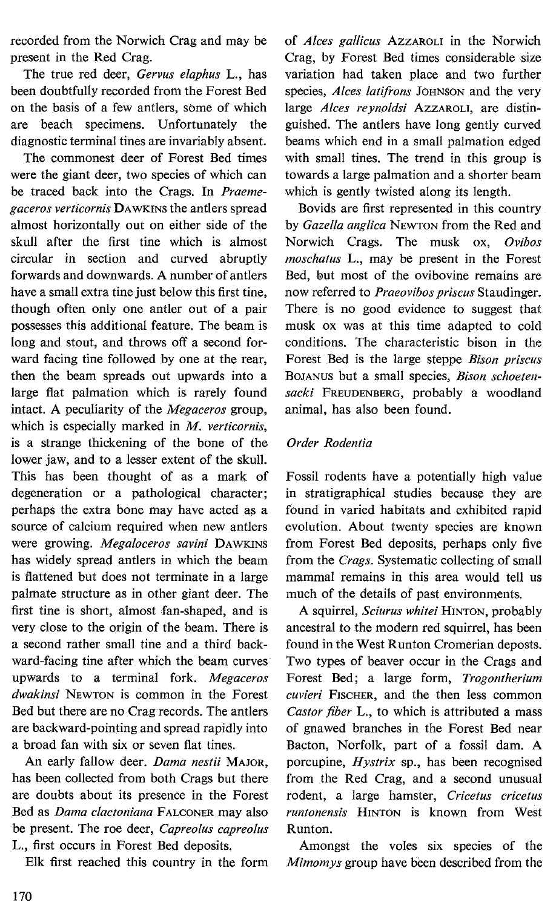recorded from the Norwich Crag and may be present in the Red Crag.

The true red deer, *Gervus elaphus* L., has been doubtfully recorded from the Forest Bed on the basis of a few antlers, some of which are beach specimens. Unfortunately the diagnostic terminal tines are invariably absent.

The commonest deer of Forest Bed times were the giant deer, two species of which can be traced back into the Crags. In *Praemegaceros verticornis* DAWKINS the antlers spread almost horizontally out on either side of the skull after the first tine which is almost circular in section and curved abruptly forwards and downwards. A number of antlers have a small extra tine just below this first tine, though often only one antler out of a pair possesses this additional feature. The beam is long and stout, and throws off a second forward facing tine followed by one at the rear, then the beam spreads out upwards into a large flat palmation which is rarely found intact. A peculiarity of the *Megaceros* group, which is especially marked in *M. verticornis,*  is a strange thickening of the bone of the lower jaw, and to a lesser extent of the skull. This has been thought of as a mark of degeneration or a pathological character; perhaps the extra bone may have acted as a source of calcium required when new antlers were growing. *Megaloceros savini* DAWKINS has widely spread antlers in which the beam is flattened but does not terminate in a large palmate structure as in other giant deer. The first tine is short, almost fan-shaped, and is very close to the origin of the beam. There is a second rather small tine and a third backward-facing tine after which the beam curves upwards to a terminal fork. *Megaceros dwakinsi* NEWTON is common in the Forest Bed but there are no Crag records. The antlers are backward-pointing and spread rapidly into a broad fan with six or seven fiat tines.

An early fallow deer. *Dama nestii* MAJOR, has been collected from both Crags but there are doubts about its presence in the Forest Bed as *Dama clactoniana* FALCONER may also be present. The roe deer, *Capreolus capreolus*  L., first occurs in Forest Bed deposits.

Elk first reached this country in the form

of *A/ces gallicus* AzzAROLI in the Norwich Crag, by Forest Bed times considerable size variation had taken place and two further species, *Alces latifrons* JOHNSON and the very large *A/ces reynoldsi* AzzAROLI, are distinguished. The antlers have long gently curved beams which end in a small palmation edged with small tines. The trend in this group is towards a large palmation and a shorter beam which is gently twisted along its length.

Bovids are first represented in this country by *Gazella anglica* NEWTON from the Red and Norwich Crags. The musk ox, *Ovibos moschatus* L., may be present in the Forest Bed, but most of the ovibovine remains are now referred to *Praeovibos priscus* Staudinger. There is no good evidence to suggest that musk ox was at this time adapted to cold conditions. The characteristic bison in the Forest Bed is the large steppe *Bison priscus*  BOJANUS but a small species, *Bison schoetensacki* FREUDENBERG, probably a woodland animal, has also been found.

# *Order Rodentia*

Fossi! rodents have a potentially high value in stratigraphical studies because they are found in varied habitats and exhibited rapid evolution. About twenty species are known from Forest Bed deposits, perhaps only five from the *Crags.* Systematic collecting of small mammal remains in this area would tell us much of the details of past environments.

A squirre!, *Sciurus whitei* HINTON, probably ancestral to the modern red squirre!, has been found in the West Runton Cromerian deposts. Two types of beaver occur in the Crags and Forest Bed; a large form, *Trogontherium cuvieri* FISCHER, and the then Jess common *Castor fiber* L., to which is attributed a mass of gnawed branches in the Forest Bed near Bacton, Norfolk, part of a fossil dam. A porcupine, *Hystrix* sp., has been recognised from the Red Crag, and a second unusual rodent, a large hamster, *Cricetus cricetus runtonensis* H1NTON is known from West Runton.

Amongst the voles six species of the *Mimomys* group have been described from the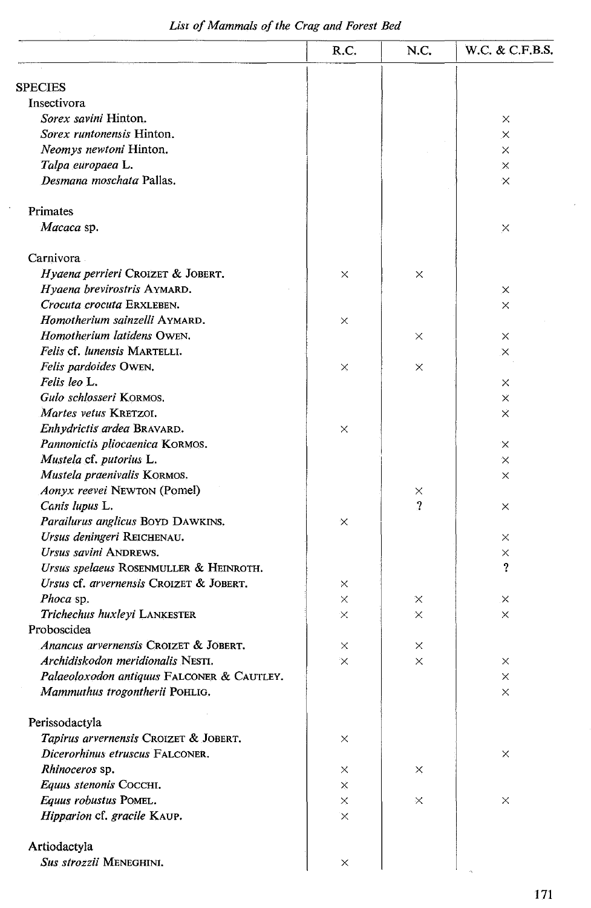# *Lisr of Mammals of the Crag and Forest Bed*

 $\bar{z}$ 

|                                                                 | R.C.          | N.C.          | W.C. & C.F.B.S. |
|-----------------------------------------------------------------|---------------|---------------|-----------------|
| <b>SPECIES</b>                                                  |               |               |                 |
| Insectivora                                                     |               |               |                 |
| Sorex savini Hinton.                                            |               |               | $\times$        |
| <i>Sorex runtonensis</i> Hinton.                                |               |               | $\times$        |
| Neomys newtoni Hinton.                                          |               |               | $\times$        |
| Talpa europaea L.                                               |               |               | $\times$        |
| Desmana moschata Pallas.                                        |               |               | $\times$        |
| Primates                                                        |               |               |                 |
| Macaca sp.                                                      |               |               | ×               |
| Carnivora                                                       |               |               |                 |
| Hyaena perrieri CROIZET & JOBERT.                               | ×             | ×             |                 |
| Hyaena brevirostris AYMARD.                                     |               |               | ×               |
| Crocuta crocuta ERXLEBEN.                                       |               |               | $\times$        |
| Homotherium sainzelli AYMARD.                                   | $\times$      |               |                 |
| Homotherium latidens OWEN.                                      |               | ×             | ×               |
| Felis cf. lunensis MARTELLI.                                    |               |               | ×               |
| Felis pardoides OWEN.                                           | ×             | X             |                 |
| Felis leo L.                                                    |               |               | ×               |
| Gulo schlosseri KORMOS.                                         |               |               | ×               |
| Martes vetus KRETZOI.                                           |               |               | X               |
| Enhydrictis ardea BRAVARD.                                      | $\times$      |               |                 |
| Pannonictis pliocaenica KORMOS.                                 |               |               | $\times$        |
| Mustela cf. putorius L.                                         |               |               | $\times$        |
| Mustela praenivalis KORMOS.                                     |               |               | $\times$        |
| Aonyx reevei NEWTON (Pomel)                                     |               | ×             |                 |
| Canis lupus L.                                                  |               | 2             | ×               |
| Parailurus anglicus BOYD DAWKINS.                               | $\times$      |               |                 |
| Ursus deningeri REICHENAU.                                      |               |               | $\times$        |
| Ursus savini ANDREWS.<br>Ursus spelaeus ROSENMULLER & HEINROTH. |               |               | $\times$<br>?   |
| Ursus cf. arvernensis CROIZET & JOBERT.                         |               |               |                 |
|                                                                 | ×             |               |                 |
| Phoca sp.<br>Trichechus huxleyi LANKESTER                       | $\times$<br>X | X<br>$\times$ | $\times$<br>×   |
| Proboscidea                                                     |               |               |                 |
| Anancus arvernensis CROIZET & JOBERT,                           | ×             | ×             |                 |
| Archidiskodon meridionalis NESTI.                               | $\times$      | ×             | ×               |
| Palaeoloxodon antiquus FALCONER & CAUTLEY.                      |               |               | ×               |
| Mammuthus trogontherii POHLIG.                                  |               |               | ×               |
| Perissodactyla                                                  |               |               |                 |
| Tapirus arvernensis CROIZET & JOBERT.                           | ×             |               |                 |
| Dicerorhinus etruscus FALCONER.                                 |               |               | $\times$        |
| Rhinoceros sp.                                                  | X             | ×             |                 |
| Equus stenonis CoccHI.                                          | ×             |               |                 |
| Equus robustus POMEL.                                           | ×             | ×             | $\times$        |
| Hipparion cf. gracile KAUP.                                     | X             |               |                 |
| Artiodactyla                                                    |               |               |                 |
| Sus strozzii MENEGHINI.                                         | ×             |               |                 |

 $\bar{z}$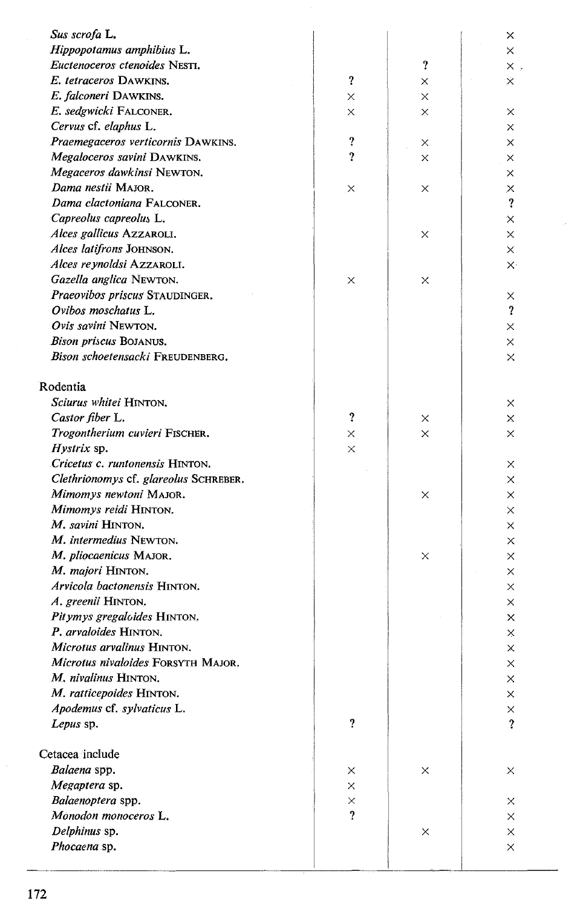| Sus scrofa L.                                    |                            |               | x                       |
|--------------------------------------------------|----------------------------|---------------|-------------------------|
| Hippopotamus amphibius L.                        |                            |               | X                       |
| Euctenoceros ctenoides NESTI.                    |                            | ?             | $\times$ .              |
| E. tetraceros DAWKINS.                           | $\boldsymbol{\mathcal{P}}$ | ×             | $\times$                |
| E. falconeri DAWKINS.                            | X                          | X             |                         |
| E. sedgwicki FALCONER.                           | ×                          | X             | $\times$                |
| Cervus cf. elaphus L.                            |                            |               | X                       |
| Praemegaceros verticornis DAWKINS.               | ?                          |               |                         |
| Megaloceros savini DAWKINS.                      | 2                          | X<br>$\times$ | ×                       |
|                                                  |                            |               | X                       |
| Megaceros dawkinsi Newton.<br>Dama nestii MAJOR. |                            |               | ×                       |
| Dama clactoniana FALCONER.                       | ×                          | ×             | ×<br>?                  |
| Capreolus capreolus L.                           |                            |               |                         |
| Alces gallicus AzzAROLI.                         |                            |               | ×                       |
|                                                  |                            | ×             | ×                       |
| Alces latifrons JOHNSON.                         |                            |               | X                       |
| Alces reynoldsi AzzAROLI.                        |                            |               | $\times$                |
| Gazella anglica NEWTON.                          | X                          | ×             |                         |
| Praeovibos priscus STAUDINGER.                   |                            |               | X                       |
| Ovibos moschatus L.                              |                            |               | ?                       |
| Ovis savini Newton.                              |                            |               | ×                       |
| Bison priscus BOJANUS.                           |                            |               | X                       |
| Bison schoetensacki FREUDENBERG.                 |                            |               | ×                       |
| Rodentia                                         |                            |               |                         |
| Sciurus whitei HINTON.                           |                            |               | x                       |
| Castor fiber L.                                  | ?                          | ×             | ×                       |
| Trogontherium cuvieri FISCHER.                   | $\times$                   | X.            | $\times$                |
| <i>Hystrix</i> sp.                               | $\times$                   |               |                         |
| Cricetus c. runtonensis HINTON.                  |                            |               | X                       |
| Clethrionomys cf. glareolus SCHREBER.            |                            |               | ×                       |
| Mimomys newtoni MAJOR.                           |                            | ×             | ×                       |
| Mimomys reidi HINTON.                            |                            |               | ×                       |
| M. savini HINTON.                                |                            |               | X                       |
| M. intermedius NEWTON.                           |                            |               | X                       |
| M. pliocaenicus MAJOR.                           |                            | ×             | ×                       |
| M. majori HINTON.                                |                            |               | ×                       |
| Arvicola bactonensis HINTON.                     |                            |               | X                       |
| A. greenii HINTON.                               |                            |               | ×                       |
| Pitymys gregaloides HINTON.                      |                            |               | ×                       |
| P. arvaloides HINTON.                            |                            |               | ×                       |
| Microtus arvalinus HINTON.                       |                            |               | ×                       |
| Microtus nivaloides FORSYTH MAJOR.               |                            |               | ×                       |
| M. nivalinus HINTON.                             |                            |               | ×                       |
| M. ratticepoides HINTON.                         |                            |               | ×                       |
| Apodemus cf. sylvaticus L.                       |                            |               | $\times$                |
| Lepus sp.                                        | $\boldsymbol{\mathcal{L}}$ |               | $\overline{\mathbf{?}}$ |
|                                                  |                            |               |                         |
| Cetacea include                                  |                            |               |                         |
| Balaena spp.                                     | ×                          | ×             | ×                       |
| Megaptera sp.                                    | ×                          |               |                         |
| Balaenoptera spp.                                | $\times$                   |               | X                       |
| Monodon monoceros L.                             | $\overline{\mathbf{?}}$    |               | ×                       |
| Delphinus sp.                                    |                            | ×             | ×                       |
| Phocaena sp.                                     |                            |               | ×                       |
|                                                  |                            |               |                         |